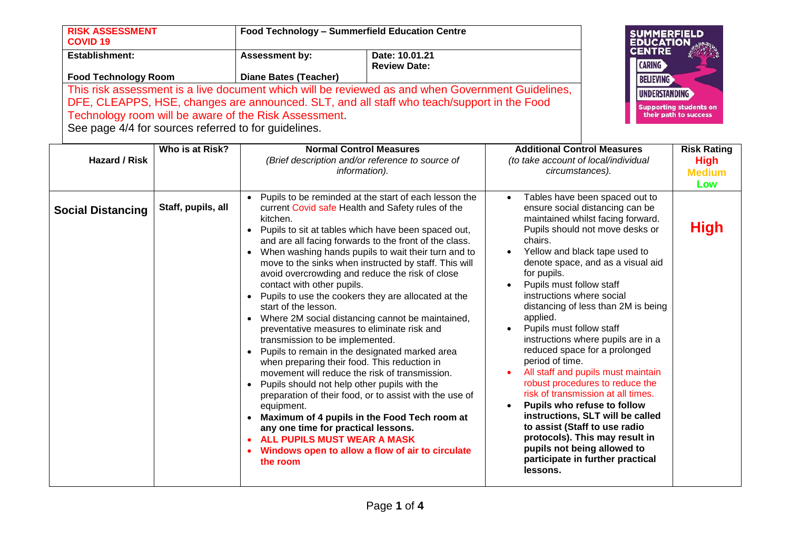| <b>RISK ASSESSMENT</b><br><b>COVID 19</b>                                                                                                                                                                                                                                                                        | Food Technology - Summerfield Education Centre |                                       | <b>SUMMERFIELD</b><br>EDUCATION<br>CENTRE                               |
|------------------------------------------------------------------------------------------------------------------------------------------------------------------------------------------------------------------------------------------------------------------------------------------------------------------|------------------------------------------------|---------------------------------------|-------------------------------------------------------------------------|
| <b>Establishment:</b>                                                                                                                                                                                                                                                                                            | <b>Assessment by:</b>                          | Date: 10.01.21<br><b>Review Date:</b> | <b>CARING</b>                                                           |
| <b>Food Technology Room</b>                                                                                                                                                                                                                                                                                      | <b>Diane Bates (Teacher)</b>                   |                                       | <b>BELIEVING</b>                                                        |
| This risk assessment is a live document which will be reviewed as and when Government Guidelines,<br>DFE, CLEAPPS, HSE, changes are announced. SLT, and all staff who teach/support in the Food<br>Technology room will be aware of the Risk Assessment.<br>See page 4/4 for sources referred to for guidelines. |                                                |                                       | UNDERSTANDING<br><b>Supporting students on</b><br>their path to success |

| <b>Hazard / Risk</b>     | Who is at Risk?    | <b>Normal Control Measures</b><br>(Brief description and/or reference to source of<br><i>information</i> ).                                                                                                                                                                                                                                                                                                                                                                                                                                                                                                                                                                                                                                                                                                                                                                                                                                                                                                                                                                                                                                                                                                                                           | <b>Additional Control Measures</b><br>(to take account of local/individual<br>circumstances).                                                                                                                                                                                                                                                                                                                                                                                                                                                                                                                                                                                                                                                                                                                   | <b>Risk Rating</b><br><b>High</b><br><b>Medium</b><br>Low |
|--------------------------|--------------------|-------------------------------------------------------------------------------------------------------------------------------------------------------------------------------------------------------------------------------------------------------------------------------------------------------------------------------------------------------------------------------------------------------------------------------------------------------------------------------------------------------------------------------------------------------------------------------------------------------------------------------------------------------------------------------------------------------------------------------------------------------------------------------------------------------------------------------------------------------------------------------------------------------------------------------------------------------------------------------------------------------------------------------------------------------------------------------------------------------------------------------------------------------------------------------------------------------------------------------------------------------|-----------------------------------------------------------------------------------------------------------------------------------------------------------------------------------------------------------------------------------------------------------------------------------------------------------------------------------------------------------------------------------------------------------------------------------------------------------------------------------------------------------------------------------------------------------------------------------------------------------------------------------------------------------------------------------------------------------------------------------------------------------------------------------------------------------------|-----------------------------------------------------------|
| <b>Social Distancing</b> | Staff, pupils, all | Pupils to be reminded at the start of each lesson the<br>current Covid safe Health and Safety rules of the<br>kitchen.<br>Pupils to sit at tables which have been spaced out,<br>$\bullet$<br>and are all facing forwards to the front of the class.<br>When washing hands pupils to wait their turn and to<br>$\bullet$<br>move to the sinks when instructed by staff. This will<br>avoid overcrowding and reduce the risk of close<br>contact with other pupils.<br>Pupils to use the cookers they are allocated at the<br>$\bullet$<br>start of the lesson.<br>Where 2M social distancing cannot be maintained,<br>$\bullet$<br>preventative measures to eliminate risk and<br>transmission to be implemented.<br>Pupils to remain in the designated marked area<br>$\bullet$<br>when preparing their food. This reduction in<br>movement will reduce the risk of transmission.<br>Pupils should not help other pupils with the<br>$\bullet$<br>preparation of their food, or to assist with the use of<br>equipment.<br>Maximum of 4 pupils in the Food Tech room at<br>$\bullet$<br>any one time for practical lessons.<br>ALL PUPILS MUST WEAR A MASK<br>$\bullet$<br>Windows open to allow a flow of air to circulate<br>$\bullet$<br>the room | Tables have been spaced out to<br>ensure social distancing can be<br>maintained whilst facing forward.<br>Pupils should not move desks or<br>chairs.<br>Yellow and black tape used to<br>denote space, and as a visual aid<br>for pupils.<br>Pupils must follow staff<br>instructions where social<br>distancing of less than 2M is being<br>applied.<br>Pupils must follow staff<br>instructions where pupils are in a<br>reduced space for a prolonged<br>period of time.<br>All staff and pupils must maintain<br>robust procedures to reduce the<br>risk of transmission at all times.<br>Pupils who refuse to follow<br>instructions, SLT will be called<br>to assist (Staff to use radio<br>protocols). This may result in<br>pupils not being allowed to<br>participate in further practical<br>lessons. | <b>High</b>                                               |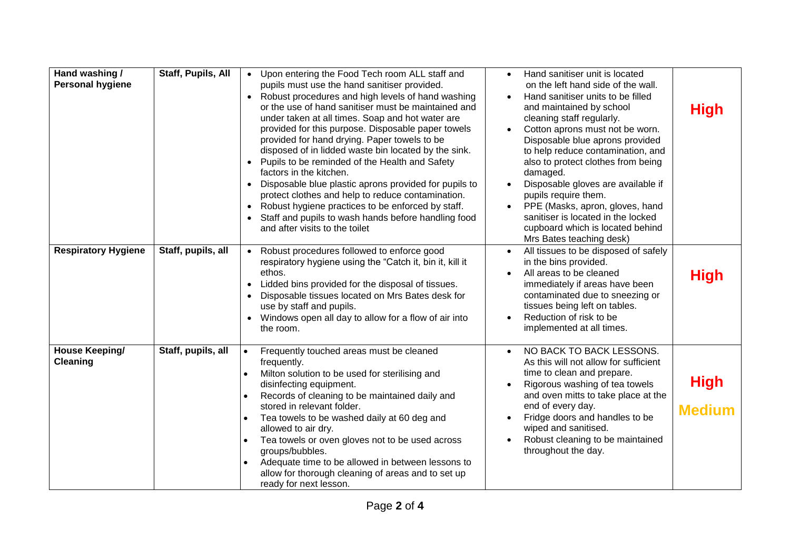| Hand washing /<br><b>Personal hygiene</b><br><b>Respiratory Hygiene</b> | Staff, Pupils, All<br>Staff, pupils, all | • Upon entering the Food Tech room ALL staff and<br>pupils must use the hand sanitiser provided.<br>• Robust procedures and high levels of hand washing<br>or the use of hand sanitiser must be maintained and<br>under taken at all times. Soap and hot water are<br>provided for this purpose. Disposable paper towels<br>provided for hand drying. Paper towels to be<br>disposed of in lidded waste bin located by the sink.<br>Pupils to be reminded of the Health and Safety<br>factors in the kitchen.<br>Disposable blue plastic aprons provided for pupils to<br>$\bullet$<br>protect clothes and help to reduce contamination.<br>Robust hygiene practices to be enforced by staff.<br>$\bullet$<br>Staff and pupils to wash hands before handling food<br>and after visits to the toilet<br>• Robust procedures followed to enforce good<br>respiratory hygiene using the "Catch it, bin it, kill it | Hand sanitiser unit is located<br>on the left hand side of the wall.<br>Hand sanitiser units to be filled<br>and maintained by school<br>cleaning staff regularly.<br>Cotton aprons must not be worn.<br>Disposable blue aprons provided<br>to help reduce contamination, and<br>also to protect clothes from being<br>damaged.<br>Disposable gloves are available if<br>pupils require them.<br>PPE (Masks, apron, gloves, hand<br>sanitiser is located in the locked<br>cupboard which is located behind<br>Mrs Bates teaching desk)<br>All tissues to be disposed of safely<br>in the bins provided. | <b>High</b>                  |
|-------------------------------------------------------------------------|------------------------------------------|-----------------------------------------------------------------------------------------------------------------------------------------------------------------------------------------------------------------------------------------------------------------------------------------------------------------------------------------------------------------------------------------------------------------------------------------------------------------------------------------------------------------------------------------------------------------------------------------------------------------------------------------------------------------------------------------------------------------------------------------------------------------------------------------------------------------------------------------------------------------------------------------------------------------|---------------------------------------------------------------------------------------------------------------------------------------------------------------------------------------------------------------------------------------------------------------------------------------------------------------------------------------------------------------------------------------------------------------------------------------------------------------------------------------------------------------------------------------------------------------------------------------------------------|------------------------------|
|                                                                         |                                          | ethos.<br>Lidded bins provided for the disposal of tissues.<br>$\bullet$<br>Disposable tissues located on Mrs Bates desk for<br>$\bullet$<br>use by staff and pupils.<br>• Windows open all day to allow for a flow of air into<br>the room.                                                                                                                                                                                                                                                                                                                                                                                                                                                                                                                                                                                                                                                                    | All areas to be cleaned<br>immediately if areas have been<br>contaminated due to sneezing or<br>tissues being left on tables.<br>Reduction of risk to be<br>implemented at all times.                                                                                                                                                                                                                                                                                                                                                                                                                   | <b>High</b>                  |
| <b>House Keeping/</b><br>Cleaning                                       | Staff, pupils, all                       | Frequently touched areas must be cleaned<br>$\bullet$<br>frequently.<br>Milton solution to be used for sterilising and<br>$\bullet$<br>disinfecting equipment.<br>Records of cleaning to be maintained daily and<br>$\bullet$<br>stored in relevant folder.<br>Tea towels to be washed daily at 60 deg and<br>$\bullet$<br>allowed to air dry.<br>Tea towels or oven gloves not to be used across<br>$\bullet$<br>groups/bubbles.<br>Adequate time to be allowed in between lessons to<br>allow for thorough cleaning of areas and to set up<br>ready for next lesson.                                                                                                                                                                                                                                                                                                                                          | NO BACK TO BACK LESSONS.<br>$\bullet$<br>As this will not allow for sufficient<br>time to clean and prepare.<br>Rigorous washing of tea towels<br>and oven mitts to take place at the<br>end of every day.<br>Fridge doors and handles to be<br>wiped and sanitised.<br>Robust cleaning to be maintained<br>throughout the day.                                                                                                                                                                                                                                                                         | <b>High</b><br><b>Medium</b> |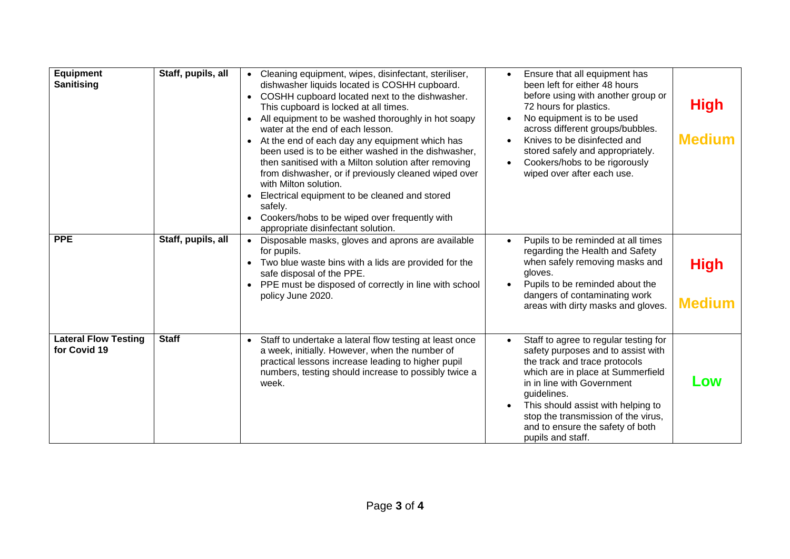| Equipment<br><b>Sanitising</b>              | Staff, pupils, all | Cleaning equipment, wipes, disinfectant, steriliser,<br>Ensure that all equipment has<br>dishwasher liquids located is COSHH cupboard.<br>been left for either 48 hours<br>before using with another group or<br>COSHH cupboard located next to the dishwasher.<br>$\bullet$<br>72 hours for plastics.<br>This cupboard is locked at all times.<br>No equipment is to be used<br>All equipment to be washed thoroughly in hot soapy<br>across different groups/bubbles.<br>water at the end of each lesson.<br>Knives to be disinfected and<br>At the end of each day any equipment which has<br>been used is to be either washed in the dishwasher,<br>stored safely and appropriately.<br>then sanitised with a Milton solution after removing<br>Cookers/hobs to be rigorously<br>wiped over after each use.<br>from dishwasher, or if previously cleaned wiped over<br>with Milton solution.<br>Electrical equipment to be cleaned and stored<br>safelv.<br>Cookers/hobs to be wiped over frequently with<br>appropriate disinfectant solution. | <b>High</b><br><b>Medium</b> |
|---------------------------------------------|--------------------|-----------------------------------------------------------------------------------------------------------------------------------------------------------------------------------------------------------------------------------------------------------------------------------------------------------------------------------------------------------------------------------------------------------------------------------------------------------------------------------------------------------------------------------------------------------------------------------------------------------------------------------------------------------------------------------------------------------------------------------------------------------------------------------------------------------------------------------------------------------------------------------------------------------------------------------------------------------------------------------------------------------------------------------------------------|------------------------------|
| <b>PPE</b>                                  | Staff, pupils, all | Disposable masks, gloves and aprons are available<br>Pupils to be reminded at all times<br>regarding the Health and Safety<br>for pupils.<br>when safely removing masks and<br>Two blue waste bins with a lids are provided for the<br>safe disposal of the PPE.<br>gloves.<br>Pupils to be reminded about the<br>PPE must be disposed of correctly in line with school<br>dangers of contaminating work<br>policy June 2020.<br>areas with dirty masks and gloves.                                                                                                                                                                                                                                                                                                                                                                                                                                                                                                                                                                                 | <b>High</b><br><b>Medium</b> |
| <b>Lateral Flow Testing</b><br>for Covid 19 | <b>Staff</b>       | Staff to undertake a lateral flow testing at least once<br>Staff to agree to regular testing for<br>$\bullet$<br>a week, initially. However, when the number of<br>safety purposes and to assist with<br>practical lessons increase leading to higher pupil<br>the track and trace protocols<br>numbers, testing should increase to possibly twice a<br>which are in place at Summerfield<br>in in line with Government<br>week.<br>guidelines.<br>This should assist with helping to<br>stop the transmission of the virus,<br>and to ensure the safety of both<br>pupils and staff.                                                                                                                                                                                                                                                                                                                                                                                                                                                               | LOW                          |